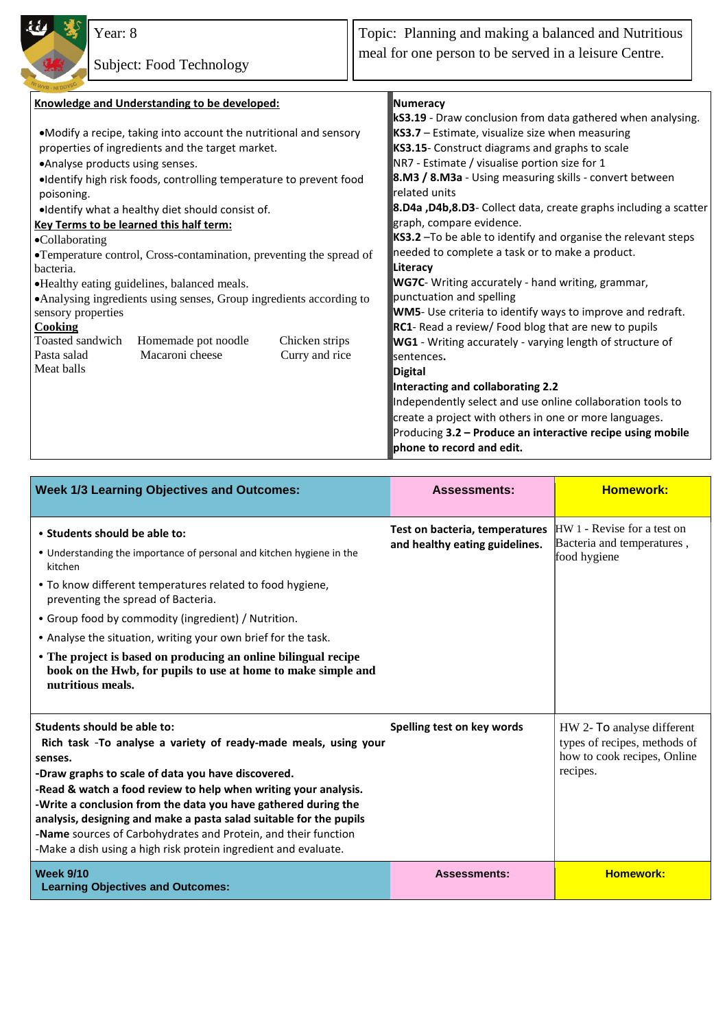

Year: 8

Topic: Planning and making a balanced and Nutritious meal for one person to be served in a leisure Centre.

| Knowledge and Understanding to be developed:                         |                | Numeracy                                                         |  |
|----------------------------------------------------------------------|----------------|------------------------------------------------------------------|--|
|                                                                      |                | kS3.19 - Draw conclusion from data gathered when analysing.      |  |
| •Modify a recipe, taking into account the nutritional and sensory    |                | KS3.7 - Estimate, visualize size when measuring                  |  |
| properties of ingredients and the target market.                     |                | KS3.15- Construct diagrams and graphs to scale                   |  |
| •Analyse products using senses.                                      |                | NR7 - Estimate / visualise portion size for 1                    |  |
| ·Identify high risk foods, controlling temperature to prevent food   |                | 8.M3 / 8.M3a - Using measuring skills - convert between          |  |
| poisoning.                                                           |                | related units                                                    |  |
| . Identify what a healthy diet should consist of.                    |                | 8.D4a ,D4b,8.D3- Collect data, create graphs including a scatter |  |
| Key Terms to be learned this half term:                              |                | graph, compare evidence.                                         |  |
| •Collaborating                                                       |                | KS3.2 - To be able to identify and organise the relevant steps   |  |
| •Temperature control, Cross-contamination, preventing the spread of  |                | needed to complete a task or to make a product.                  |  |
| bacteria.                                                            |                | Literacy                                                         |  |
| •Healthy eating guidelines, balanced meals.                          |                | <b>WG7C</b> - Writing accurately - hand writing, grammar,        |  |
| • Analysing ingredients using senses, Group ingredients according to |                | punctuation and spelling                                         |  |
| sensory properties                                                   |                | WM5- Use criteria to identify ways to improve and redraft.       |  |
| <b>Cooking</b>                                                       |                | RC1- Read a review/ Food blog that are new to pupils             |  |
| Toasted sandwich<br>Homemade pot noodle                              | Chicken strips | WG1 - Writing accurately - varying length of structure of        |  |
| Macaroni cheese<br>Pasta salad                                       | Curry and rice | sentences.                                                       |  |
| Meat balls                                                           |                | <b>Digital</b>                                                   |  |
|                                                                      |                | Interacting and collaborating 2.2                                |  |
|                                                                      |                | Independently select and use online collaboration tools to       |  |
|                                                                      |                | create a project with others in one or more languages.           |  |
|                                                                      |                | Producing 3.2 - Produce an interactive recipe using mobile       |  |
|                                                                      |                | phone to record and edit.                                        |  |

| <b>Week 1/3 Learning Objectives and Outcomes:</b>                                                                                                                                                                                                                                                                                                                                                                                                                                                               | <b>Assessments:</b>                                              | <b>Homework:</b>                                                                                      |
|-----------------------------------------------------------------------------------------------------------------------------------------------------------------------------------------------------------------------------------------------------------------------------------------------------------------------------------------------------------------------------------------------------------------------------------------------------------------------------------------------------------------|------------------------------------------------------------------|-------------------------------------------------------------------------------------------------------|
| • Students should be able to:<br>• Understanding the importance of personal and kitchen hygiene in the<br>kitchen<br>• To know different temperatures related to food hygiene,<br>preventing the spread of Bacteria.<br>• Group food by commodity (ingredient) / Nutrition.<br>• Analyse the situation, writing your own brief for the task.<br>• The project is based on producing an online bilingual recipe<br>book on the Hwb, for pupils to use at home to make simple and<br>nutritious meals.            | Test on bacteria, temperatures<br>and healthy eating guidelines. | HW 1 - Revise for a test on<br>Bacteria and temperatures,<br>food hygiene                             |
| Students should be able to:<br>Rich task -To analyse a variety of ready-made meals, using your<br>senses.<br>-Draw graphs to scale of data you have discovered.<br>-Read & watch a food review to help when writing your analysis.<br>-Write a conclusion from the data you have gathered during the<br>analysis, designing and make a pasta salad suitable for the pupils<br>-Name sources of Carbohydrates and Protein, and their function<br>-Make a dish using a high risk protein ingredient and evaluate. | Spelling test on key words                                       | HW 2- To analyse different<br>types of recipes, methods of<br>how to cook recipes, Online<br>recipes. |
| <b>Week 9/10</b><br><b>Learning Objectives and Outcomes:</b>                                                                                                                                                                                                                                                                                                                                                                                                                                                    | <b>Assessments:</b>                                              | <b>Homework:</b>                                                                                      |